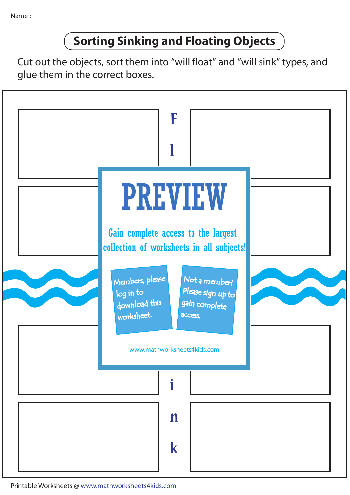## **Sorting Sinking and Floating Objects**

Cut out the objects, sort them into "will float" and "will sink" types, and glue them in the correct boxes.



Printable Worksheets @ www.mathworksheets4kids.com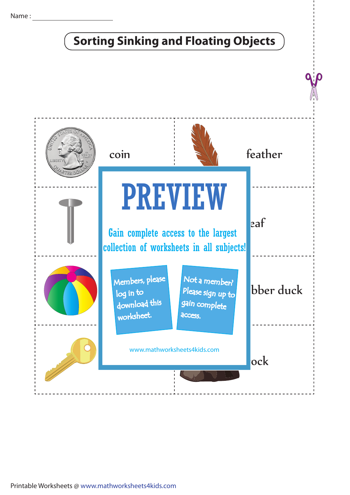